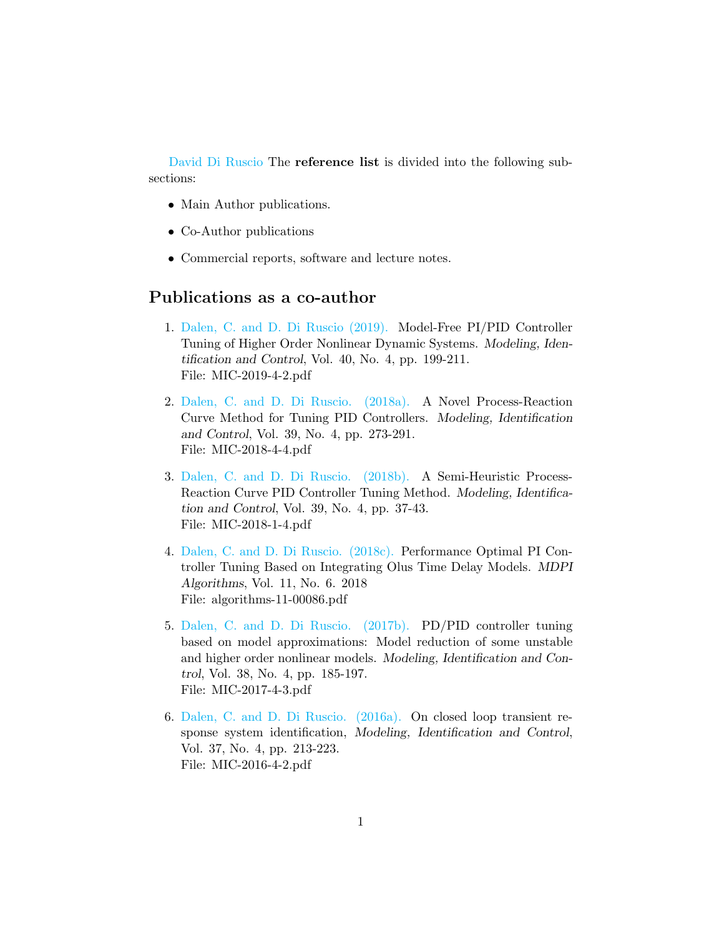[David Di Ruscio](http://www.davidr.no) The reference list is divided into the following subsections:

- Main Author publications.
- Co-Author publications
- Commercial reports, software and lecture notes.

## Publications as a co-author

- 1. [Dalen, C. and D. Di Ruscio \(2019\).](https://www.mic-journal.no/PDF/2019/MIC-2019-4-2.pdf) Model-Free PI/PID Controller Tuning of Higher Order Nonlinear Dynamic Systems. Modeling, Identification and Control, Vol. 40, No. 4, pp. 199-211. File: MIC-2019-4-2.pdf
- 2. [Dalen, C. and D. Di Ruscio. \(2018a\).](http://www.mic-journal.no/PDF/2018/MIC-2018-4-4.pdf) A Novel Process-Reaction Curve Method for Tuning PID Controllers. Modeling, Identification and Control, Vol. 39, No. 4, pp. 273-291. File: MIC-2018-4-4.pdf
- 3. [Dalen, C. and D. Di Ruscio. \(2018b\).](http://www.mic-journal.no/PDF/2018/MIC-2018-1-4.pdf) A Semi-Heuristic Process-Reaction Curve PID Controller Tuning Method. Modeling, Identification and Control, Vol. 39, No. 4, pp. 37-43. File: MIC-2018-1-4.pdf
- 4. [Dalen, C. and D. Di Ruscio. \(2018c\).](https://www.mdpi.com/1999-4893/11/6/86) Performance Optimal PI Controller Tuning Based on Integrating Olus Time Delay Models. MDPI Algorithms, Vol. 11, No. 6. 2018 File: algorithms-11-00086.pdf
- 5. [Dalen, C. and D. Di Ruscio. \(2017b\).](http://www.mic-journal.no/PDF/2017/MIC-2017-4-3.pdf) PD/PID controller tuning based on model approximations: Model reduction of some unstable and higher order nonlinear models. Modeling, Identification and Control, Vol. 38, No. 4, pp. 185-197. File: MIC-2017-4-3.pdf
- 6. [Dalen, C. and D. Di Ruscio. \(2016a\).](http://www.mic-journal.no/PDF/2016/MIC-2016-4-2.pdf) On closed loop transient response system identification, Modeling, Identification and Control, Vol. 37, No. 4, pp. 213-223. File: MIC-2016-4-2.pdf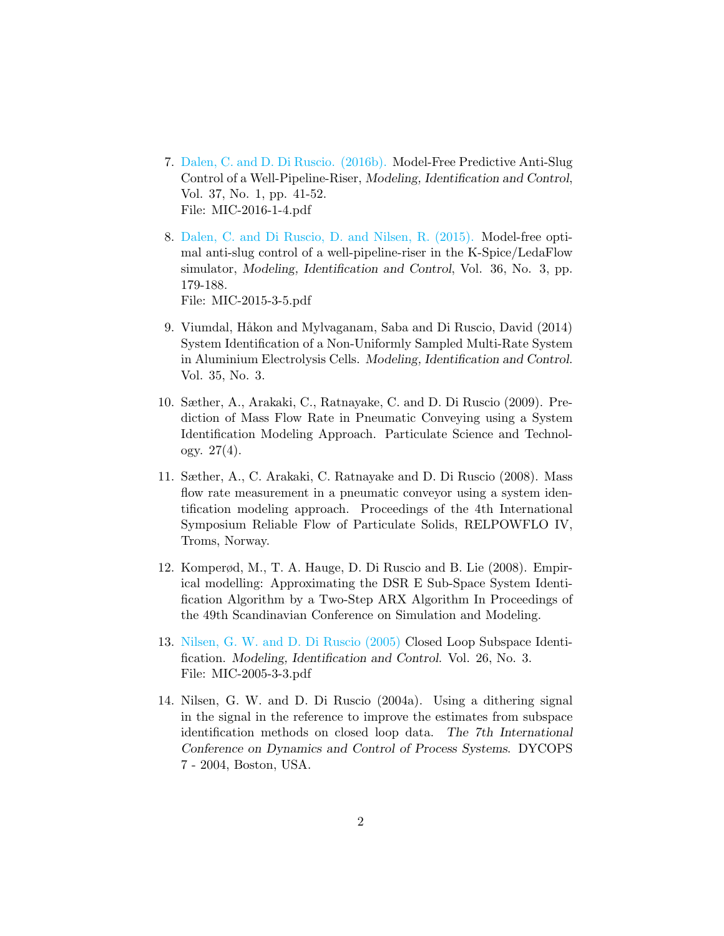- 7. [Dalen, C. and D. Di Ruscio. \(2016b\).](http://www.mic-journal.no/PDF/2016/MIC-2016-1-4.pdf) Model-Free Predictive Anti-Slug Control of a Well-Pipeline-Riser, Modeling, Identification and Control, Vol. 37, No. 1, pp. 41-52. File: MIC-2016-1-4.pdf
- 8. [Dalen, C. and Di Ruscio, D. and Nilsen, R. \(2015\).](http://www.mic-journal.no/PDF/2015/MIC-2015-3-5.pdf) Model-free optimal anti-slug control of a well-pipeline-riser in the K-Spice/LedaFlow simulator, Modeling, Identification and Control, Vol. 36, No. 3, pp. 179-188.

File: MIC-2015-3-5.pdf

- 9. Viumdal, Håkon and Mylvaganam, Saba and Di Ruscio, David (2014) System Identification of a Non-Uniformly Sampled Multi-Rate System in Aluminium Electrolysis Cells. Modeling, Identification and Control. Vol. 35, No. 3.
- 10. Sæther, A., Arakaki, C., Ratnayake, C. and D. Di Ruscio (2009). Prediction of Mass Flow Rate in Pneumatic Conveying using a System Identification Modeling Approach. Particulate Science and Technology.  $27(4)$ .
- 11. Sæther, A., C. Arakaki, C. Ratnayake and D. Di Ruscio (2008). Mass flow rate measurement in a pneumatic conveyor using a system identification modeling approach. Proceedings of the 4th International Symposium Reliable Flow of Particulate Solids, RELPOWFLO IV, Troms, Norway.
- 12. Komperød, M., T. A. Hauge, D. Di Ruscio and B. Lie (2008). Empirical modelling: Approximating the DSR E Sub-Space System Identification Algorithm by a Two-Step ARX Algorithm In Proceedings of the 49th Scandinavian Conference on Simulation and Modeling.
- 13. [Nilsen, G. W. and D. Di Ruscio \(2005\)](http://www.mic-journal.no/PDF/2005/MIC-2005-3-3.pdf) Closed Loop Subspace Identification. Modeling, Identification and Control. Vol. 26, No. 3. File: MIC-2005-3-3.pdf
- 14. Nilsen, G. W. and D. Di Ruscio (2004a). Using a dithering signal in the signal in the reference to improve the estimates from subspace identification methods on closed loop data. The 7th International Conference on Dynamics and Control of Process Systems. DYCOPS 7 - 2004, Boston, USA.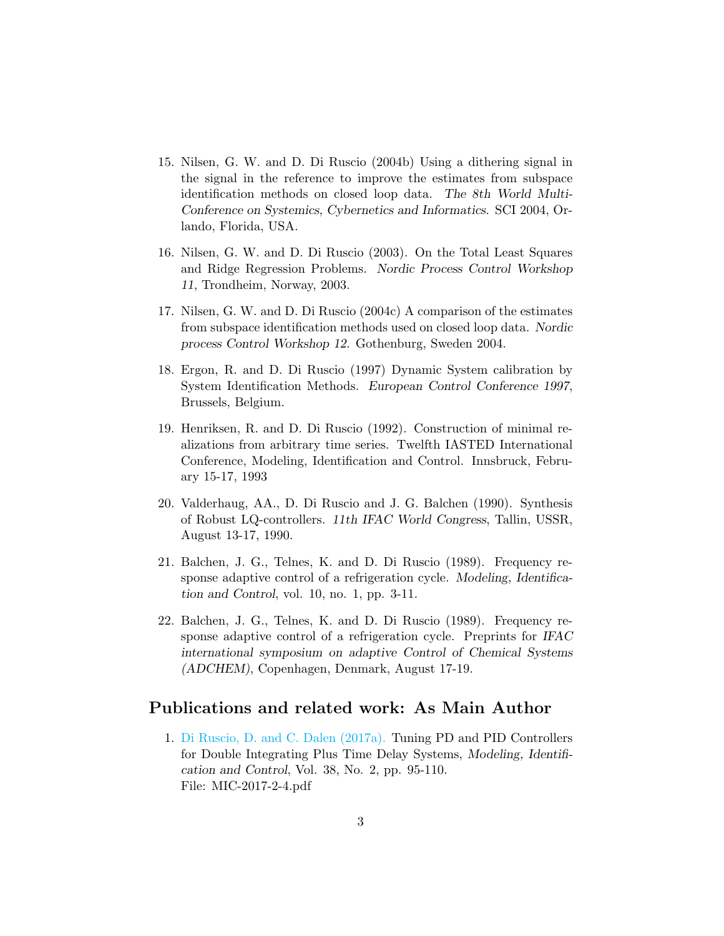- 15. Nilsen, G. W. and D. Di Ruscio (2004b) Using a dithering signal in the signal in the reference to improve the estimates from subspace identification methods on closed loop data. The 8th World Multi-Conference on Systemics, Cybernetics and Informatics. SCI 2004, Orlando, Florida, USA.
- 16. Nilsen, G. W. and D. Di Ruscio (2003). On the Total Least Squares and Ridge Regression Problems. Nordic Process Control Workshop 11, Trondheim, Norway, 2003.
- 17. Nilsen, G. W. and D. Di Ruscio (2004c) A comparison of the estimates from subspace identification methods used on closed loop data. Nordic process Control Workshop 12. Gothenburg, Sweden 2004.
- 18. Ergon, R. and D. Di Ruscio (1997) Dynamic System calibration by System Identification Methods. European Control Conference 1997, Brussels, Belgium.
- 19. Henriksen, R. and D. Di Ruscio (1992). Construction of minimal realizations from arbitrary time series. Twelfth IASTED International Conference, Modeling, Identification and Control. Innsbruck, February 15-17, 1993
- 20. Valderhaug, AA., D. Di Ruscio and J. G. Balchen (1990). Synthesis of Robust LQ-controllers. 11th IFAC World Congress, Tallin, USSR, August 13-17, 1990.
- 21. Balchen, J. G., Telnes, K. and D. Di Ruscio (1989). Frequency response adaptive control of a refrigeration cycle. Modeling, Identification and Control, vol. 10, no. 1, pp. 3-11.
- 22. Balchen, J. G., Telnes, K. and D. Di Ruscio (1989). Frequency response adaptive control of a refrigeration cycle. Preprints for IFAC international symposium on adaptive Control of Chemical Systems (ADCHEM), Copenhagen, Denmark, August 17-19.

#### Publications and related work: As Main Author

1. [Di Ruscio, D. and C. Dalen \(2017a\).](http://www.mic-journal.no/PDF/2017/MIC-2017-2-4.pdf) Tuning PD and PID Controllers for Double Integrating Plus Time Delay Systems, Modeling, Identification and Control, Vol. 38, No. 2, pp. 95-110. File: MIC-2017-2-4.pdf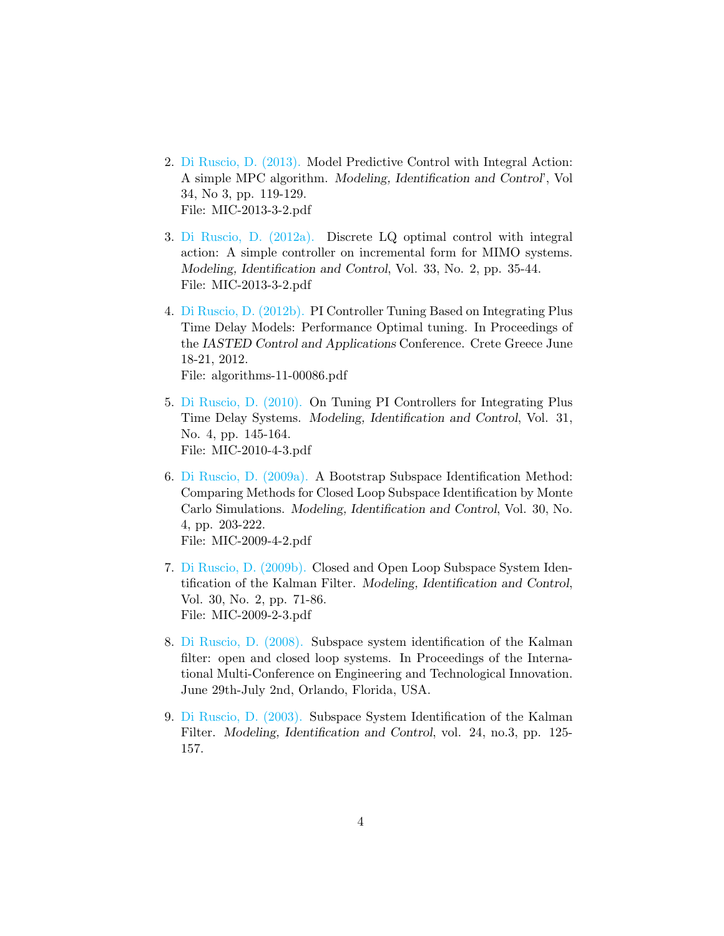- 2. [Di Ruscio, D. \(2013\).](http://www.mic-journal.no/PDF/2013/MIC-2013-3-2.pdf) Model Predictive Control with Integral Action: A simple MPC algorithm. Modeling, Identification and Control', Vol 34, No 3, pp. 119-129. File: MIC-2013-3-2.pdf
- 3. [Di Ruscio, D. \(2012a\).](http://www.mic-journal.no/PDF/2012/MIC-2012-2-1.pdf) Discrete LQ optimal control with integral action: A simple controller on incremental form for MIMO systems. Modeling, Identification and Control, Vol. 33, No. 2, pp. 35-44. File: MIC-2013-3-2.pdf
- 4. [Di Ruscio, D. \(2012b\).](http://davidr.no/cv_dir/papers/ddir_Crete2012_main_pid_tuning2conference.pdf) PI Controller Tuning Based on Integrating Plus Time Delay Models: Performance Optimal tuning. In Proceedings of the IASTED Control and Applications Conference. Crete Greece June 18-21, 2012. File: algorithms-11-00086.pdf
- 5. [Di Ruscio, D. \(2010\).](http://www.mic-journal.no/ABS/MIC-2010-4-3.asp) On Tuning PI Controllers for Integrating Plus Time Delay Systems. Modeling, Identification and Control, Vol. 31, No. 4, pp. 145-164. File: MIC-2010-4-3.pdf
- 6. [Di Ruscio, D. \(2009a\).](http://www.mic-journal.no/PDF/2009/MIC-2009-4-2.pdf) A Bootstrap Subspace Identification Method: Comparing Methods for Closed Loop Subspace Identification by Monte Carlo Simulations. Modeling, Identification and Control, Vol. 30, No. 4, pp. 203-222. File: MIC-2009-4-2.pdf
- 7. [Di Ruscio, D. \(2009b\).](http://www.mic-journal.no/ABS/MIC-2009-2-3.asp) Closed and Open Loop Subspace System Identification of the Kalman Filter. Modeling, Identification and Control, Vol. 30, No. 2, pp. 71-86. File: MIC-2009-2-3.pdf
- 8. [Di Ruscio, D. \(2008\).](http://davidr.no/cv_dir/papers/ddir_orlando2008.pdf) Subspace system identification of the Kalman filter: open and closed loop systems. In Proceedings of the International Multi-Conference on Engineering and Technological Innovation. June 29th-July 2nd, Orlando, Florida, USA.
- 9. [Di Ruscio, D. \(2003\).](http://www.mic-journal.no/PDF/2003/MIC-2003-3-1.pdf) Subspace System Identification of the Kalman Filter. Modeling, Identification and Control, vol. 24, no.3, pp. 125- 157.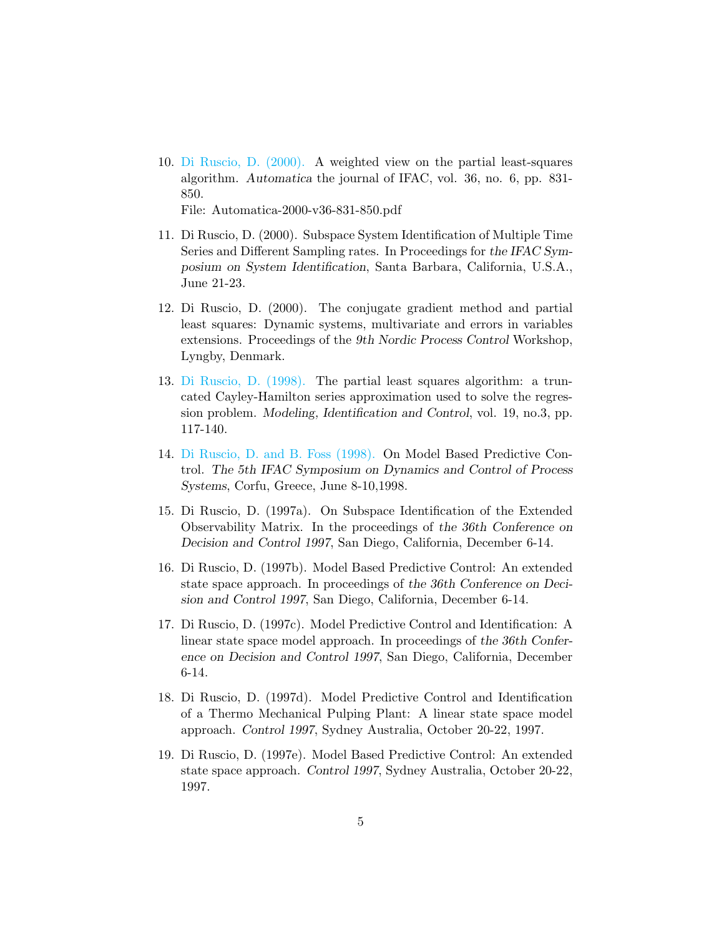10. [Di Ruscio, D. \(2000\).](https://www.sciencedirect.com/science/article/pii/S0005109899002101) A weighted view on the partial least-squares algorithm. Automatica the journal of IFAC, vol. 36, no. 6, pp. 831- 850.

File: Automatica-2000-v36-831-850.pdf

- 11. Di Ruscio, D. (2000). Subspace System Identification of Multiple Time Series and Different Sampling rates. In Proceedings for the IFAC Symposium on System Identification, Santa Barbara, California, U.S.A., June 21-23.
- 12. Di Ruscio, D. (2000). The conjugate gradient method and partial least squares: Dynamic systems, multivariate and errors in variables extensions. Proceedings of the 9th Nordic Process Control Workshop, Lyngby, Denmark.
- 13. [Di Ruscio, D. \(1998\).](http://www.mic-journal.no/PDF/1998/MIC-1998-3-1.pdf) The partial least squares algorithm: a truncated Cayley-Hamilton series approximation used to solve the regression problem. Modeling, Identification and Control, vol. 19, no.3, pp. 117-140.
- 14. [Di Ruscio, D. and B. Foss \(1998\).](http://davidr.no/cv_dir/papers/ddir_dycops98.pdf) On Model Based Predictive Control. The 5th IFAC Symposium on Dynamics and Control of Process Systems, Corfu, Greece, June 8-10,1998.
- 15. Di Ruscio, D. (1997a). On Subspace Identification of the Extended Observability Matrix. In the proceedings of the 36th Conference on Decision and Control 1997, San Diego, California, December 6-14.
- 16. Di Ruscio, D. (1997b). Model Based Predictive Control: An extended state space approach. In proceedings of the 36th Conference on Decision and Control 1997, San Diego, California, December 6-14.
- 17. Di Ruscio, D. (1997c). Model Predictive Control and Identification: A linear state space model approach. In proceedings of the 36th Conference on Decision and Control 1997, San Diego, California, December 6-14.
- 18. Di Ruscio, D. (1997d). Model Predictive Control and Identification of a Thermo Mechanical Pulping Plant: A linear state space model approach. Control 1997, Sydney Australia, October 20-22, 1997.
- 19. Di Ruscio, D. (1997e). Model Based Predictive Control: An extended state space approach. Control 1997, Sydney Australia, October 20-22, 1997.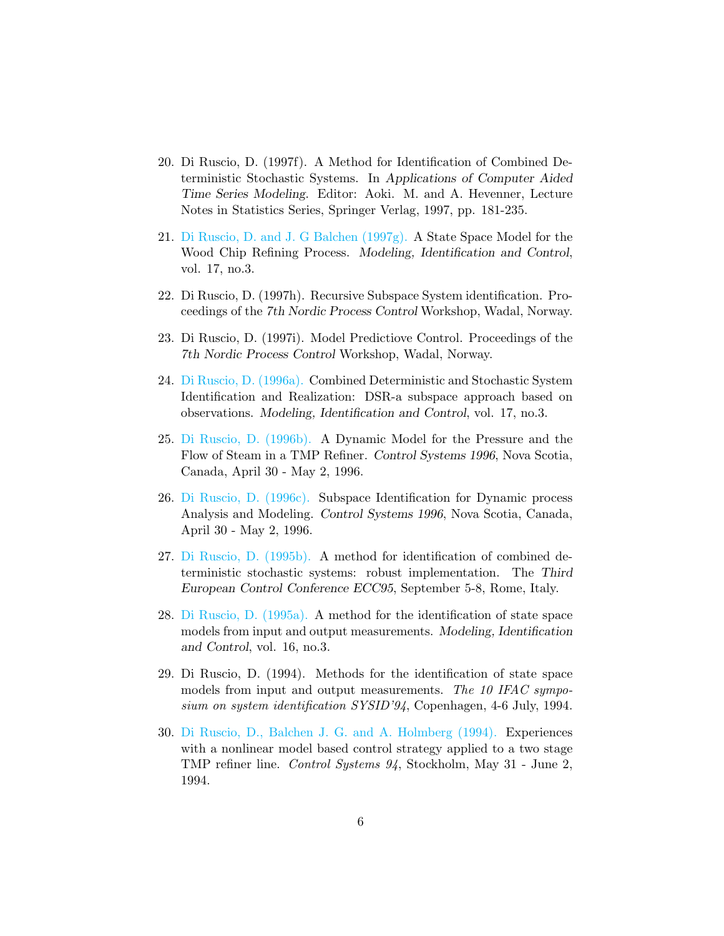- 20. Di Ruscio, D. (1997f). A Method for Identification of Combined Deterministic Stochastic Systems. In Applications of Computer Aided Time Series Modeling. Editor: Aoki. M. and A. Hevenner, Lecture Notes in Statistics Series, Springer Verlag, 1997, pp. 181-235.
- 21. [Di Ruscio, D. and J. G Balchen \(1997g\).](http://www.mic-journal.no/ABS/MIC-1997-3-2.asp) A State Space Model for the Wood Chip Refining Process. Modeling, Identification and Control, vol. 17, no.3.
- 22. Di Ruscio, D. (1997h). Recursive Subspace System identification. Proceedings of the 7th Nordic Process Control Workshop, Wadal, Norway.
- 23. Di Ruscio, D. (1997i). Model Predictiove Control. Proceedings of the 7th Nordic Process Control Workshop, Wadal, Norway.
- 24. [Di Ruscio, D. \(1996a\).](http://www.mic-journal.no/ABS/MIC-1996-3-3.asp) Combined Deterministic and Stochastic System Identification and Realization: DSR-a subspace approach based on observations. Modeling, Identification and Control, vol. 17, no.3.
- 25. [Di Ruscio, D. \(1996b\).](http://davidr.no/cv_dir/papers/ddir_halifax96b.pdf) A Dynamic Model for the Pressure and the Flow of Steam in a TMP Refiner. Control Systems 1996, Nova Scotia, Canada, April 30 - May 2, 1996.
- 26. [Di Ruscio, D. \(1996c\).](http://davidr.no/cv_dir/papers/ddir_halifax96a.pdf) Subspace Identification for Dynamic process Analysis and Modeling. Control Systems 1996, Nova Scotia, Canada, April 30 - May 2, 1996.
- 27. [Di Ruscio, D. \(1995b\).](http://davidr.no/cv_dir/papers/ddir_ecc95.pdf) A method for identification of combined deterministic stochastic systems: robust implementation. The Third European Control Conference ECC95, September 5-8, Rome, Italy.
- 28. [Di Ruscio, D. \(1995a\).](http://www.mic-journal.no/PDF/1995/MIC-1995-3-2.pdf) A method for the identification of state space models from input and output measurements. Modeling, Identification and Control, vol. 16, no.3.
- 29. Di Ruscio, D. (1994). Methods for the identification of state space models from input and output measurements. The 10 IFAC symposium on system identification SYSID'94, Copenhagen, 4-6 July, 1994.
- 30. [Di Ruscio, D., Balchen J. G. and A. Holmberg \(1994\).](http://davidr.no/cv_dir/papers/ddir_cs94.pdf) Experiences with a nonlinear model based control strategy applied to a two stage TMP refiner line. Control Systems 94, Stockholm, May 31 - June 2, 1994.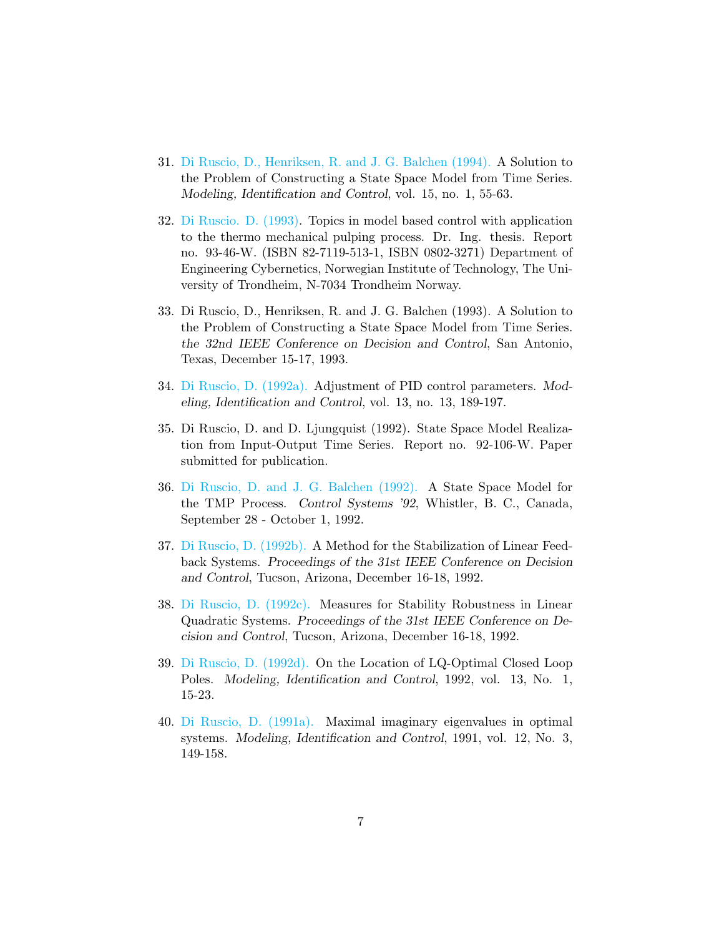- 31. [Di Ruscio, D., Henriksen, R. and J. G. Balchen \(1994\).](http://www.mic-journal.no/ABS/MIC-1994-1-5.asp) A Solution to the Problem of Constructing a State Space Model from Time Series. Modeling, Identification and Control, vol. 15, no. 1, 55-63.
- 32. [Di Ruscio. D. \(1993\).](http://davidr.no/cv_dir/papers/Topics_model_based_control_thermo_pulping_David_Di_Ruscio.pdf) Topics in model based control with application to the thermo mechanical pulping process. Dr. Ing. thesis. Report no. 93-46-W. (ISBN 82-7119-513-1, ISBN 0802-3271) Department of Engineering Cybernetics, Norwegian Institute of Technology, The University of Trondheim, N-7034 Trondheim Norway.
- 33. Di Ruscio, D., Henriksen, R. and J. G. Balchen (1993). A Solution to the Problem of Constructing a State Space Model from Time Series. the 32nd IEEE Conference on Decision and Control, San Antonio, Texas, December 15-17, 1993.
- 34. [Di Ruscio, D. \(1992a\).](http://www.mic-journal.no/PDF/1992/MIC-1992-4-1.pdf) Adjustment of PID control parameters. Modeling, Identification and Control, vol. 13, no. 13, 189-197.
- 35. Di Ruscio, D. and D. Ljungquist (1992). State Space Model Realization from Input-Output Time Series. Report no. 92-106-W. Paper submitted for publication.
- 36. [Di Ruscio, D. and J. G. Balchen \(1992\).](http://davidr.no/cv_dir/papers/ddir_tmp92.pdf) A State Space Model for the TMP Process. Control Systems '92, Whistler, B. C., Canada, September 28 - October 1, 1992.
- 37. [Di Ruscio, D. \(1992b\).](http://davidr.no/cv_dir/papers/ddir_tuson92a.pdf) A Method for the Stabilization of Linear Feedback Systems. Proceedings of the 31st IEEE Conference on Decision and Control, Tucson, Arizona, December 16-18, 1992.
- 38. [Di Ruscio, D. \(1992c\).](http://davidr.no/cv_dir/papers/ddir_tuson92b.pdf) Measures for Stability Robustness in Linear Quadratic Systems. Proceedings of the 31st IEEE Conference on Decision and Control, Tucson, Arizona, December 16-18, 1992.
- 39. [Di Ruscio, D. \(1992d\).](http://www.mic-journal.no/ABS/MIC-1992-1-2.asp) On the Location of LQ-Optimal Closed Loop Poles. Modeling, Identification and Control, 1992, vol. 13, No. 1, 15-23.
- 40. [Di Ruscio, D. \(1991a\).](http://www.mic-journal.no/ABS/MIC-1991-3-5.asp) Maximal imaginary eigenvalues in optimal systems. Modeling, Identification and Control, 1991, vol. 12, No. 3, 149-158.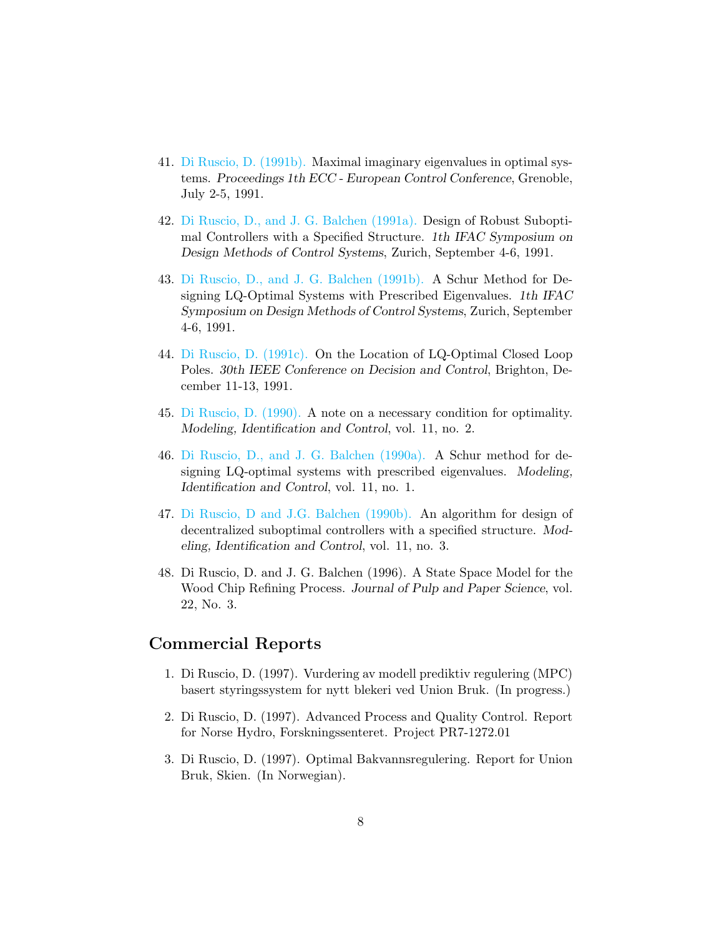- 41. [Di Ruscio, D. \(1991b\).](http://davidr.no/cv_dir/papers/ddir_ecc91.pdf) Maximal imaginary eigenvalues in optimal systems. Proceedings 1th ECC - European Control Conference, Grenoble, July 2-5, 1991.
- 42. [Di Ruscio, D., and J. G. Balchen \(1991a\).](http://davidr.no/cv_dir/papers/ddir_zurich91b.pdf) Design of Robust Suboptimal Controllers with a Specified Structure. 1th IFAC Symposium on Design Methods of Control Systems, Zurich, September 4-6, 1991.
- 43. [Di Ruscio, D., and J. G. Balchen \(1991b\).](http://davidr.no/cv_dir/papers/ddir_zurich91.pdf) A Schur Method for Designing LQ-Optimal Systems with Prescribed Eigenvalues. 1th IFAC Symposium on Design Methods of Control Systems, Zurich, September 4-6, 1991.
- 44. [Di Ruscio, D. \(1991c\).](http://davidr.no/cv_dir/papers/ddir_brighton91.pdf) On the Location of LQ-Optimal Closed Loop Poles. 30th IEEE Conference on Decision and Control, Brighton, December 11-13, 1991.
- 45. [Di Ruscio, D. \(1990\).](http://www.mic-journal.no/ABS/MIC-1990-2-5.asp) A note on a necessary condition for optimality. Modeling, Identification and Control, vol. 11, no. 2.
- 46. [Di Ruscio, D., and J. G. Balchen \(1990a\).](http://www.mic-journal.no/ABS/MIC-1990-1-5.asp) A Schur method for designing LQ-optimal systems with prescribed eigenvalues. Modeling, Identification and Control, vol. 11, no. 1.
- 47. [Di Ruscio, D and J.G. Balchen \(1990b\).](http://www.mic-journal.no/ABS/MIC-1990-3-3.asp) An algorithm for design of decentralized suboptimal controllers with a specified structure. Modeling, Identification and Control, vol. 11, no. 3.
- 48. Di Ruscio, D. and J. G. Balchen (1996). A State Space Model for the Wood Chip Refining Process. Journal of Pulp and Paper Science, vol. 22, No. 3.

### Commercial Reports

- 1. Di Ruscio, D. (1997). Vurdering av modell prediktiv regulering (MPC) basert styringssystem for nytt blekeri ved Union Bruk. (In progress.)
- 2. Di Ruscio, D. (1997). Advanced Process and Quality Control. Report for Norse Hydro, Forskningssenteret. Project PR7-1272.01
- 3. Di Ruscio, D. (1997). Optimal Bakvannsregulering. Report for Union Bruk, Skien. (In Norwegian).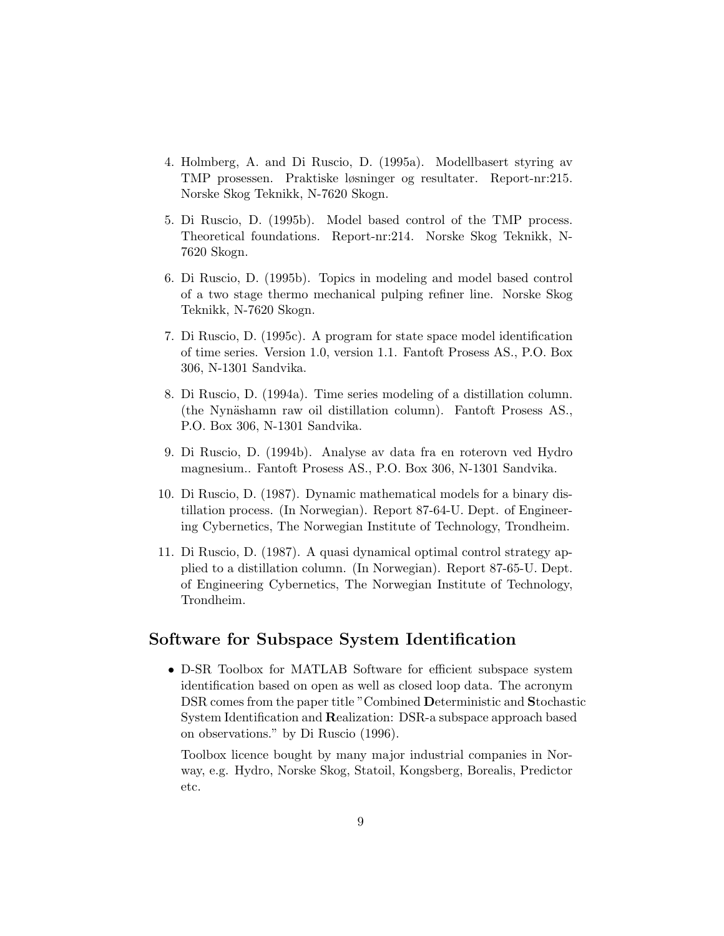- 4. Holmberg, A. and Di Ruscio, D. (1995a). Modellbasert styring av TMP prosessen. Praktiske løsninger og resultater. Report-nr:215. Norske Skog Teknikk, N-7620 Skogn.
- 5. Di Ruscio, D. (1995b). Model based control of the TMP process. Theoretical foundations. Report-nr:214. Norske Skog Teknikk, N-7620 Skogn.
- 6. Di Ruscio, D. (1995b). Topics in modeling and model based control of a two stage thermo mechanical pulping refiner line. Norske Skog Teknikk, N-7620 Skogn.
- 7. Di Ruscio, D. (1995c). A program for state space model identification of time series. Version 1.0, version 1.1. Fantoft Prosess AS., P.O. Box 306, N-1301 Sandvika.
- 8. Di Ruscio, D. (1994a). Time series modeling of a distillation column. (the Nynäshamn raw oil distillation column). Fantoft Prosess AS., P.O. Box 306, N-1301 Sandvika.
- 9. Di Ruscio, D. (1994b). Analyse av data fra en roterovn ved Hydro magnesium.. Fantoft Prosess AS., P.O. Box 306, N-1301 Sandvika.
- 10. Di Ruscio, D. (1987). Dynamic mathematical models for a binary distillation process. (In Norwegian). Report 87-64-U. Dept. of Engineering Cybernetics, The Norwegian Institute of Technology, Trondheim.
- 11. Di Ruscio, D. (1987). A quasi dynamical optimal control strategy applied to a distillation column. (In Norwegian). Report 87-65-U. Dept. of Engineering Cybernetics, The Norwegian Institute of Technology, Trondheim.

## Software for Subspace System Identification

• D-SR Toolbox for MATLAB Software for efficient subspace system identification based on open as well as closed loop data. The acronym DSR comes from the paper title "Combined Deterministic and Stochastic System Identification and Realization: DSR-a subspace approach based on observations." by Di Ruscio (1996).

Toolbox licence bought by many major industrial companies in Norway, e.g. Hydro, Norske Skog, Statoil, Kongsberg, Borealis, Predictor etc.